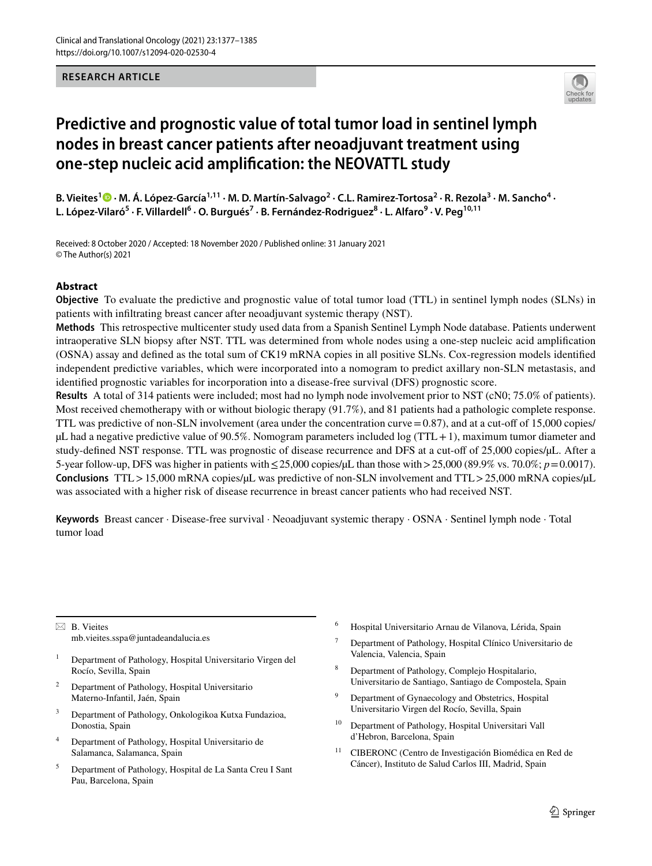## **RESEARCH ARTICLE**



# **Predictive and prognostic value of total tumor load in sentinel lymph nodes in breast cancer patients after neoadjuvant treatment using one‑step nucleic acid amplifcation: the NEOVATTL study**

B.Vieites<sup>1</sup> ® · M. Á. López-García<sup>1,11</sup> · M. D. Martín-Salvago<sup>2</sup> · C.L. Ramirez-Tortosa<sup>2</sup> · R. Rezola<sup>3</sup> · M. Sancho<sup>4</sup> · **L. López‑Vilaró5 · F. Villardell6 · O. Burgués7 · B. Fernández‑Rodriguez8 · L. Alfaro9 · V. Peg10,11**

Received: 8 October 2020 / Accepted: 18 November 2020 / Published online: 31 January 2021 © The Author(s) 2021

# **Abstract**

**Objective** To evaluate the predictive and prognostic value of total tumor load (TTL) in sentinel lymph nodes (SLNs) in patients with infltrating breast cancer after neoadjuvant systemic therapy (NST).

**Methods** This retrospective multicenter study used data from a Spanish Sentinel Lymph Node database. Patients underwent intraoperative SLN biopsy after NST. TTL was determined from whole nodes using a one-step nucleic acid amplifcation (OSNA) assay and defned as the total sum of CK19 mRNA copies in all positive SLNs. Cox-regression models identifed independent predictive variables, which were incorporated into a nomogram to predict axillary non-SLN metastasis, and identifed prognostic variables for incorporation into a disease-free survival (DFS) prognostic score.

**Results** A total of 314 patients were included; most had no lymph node involvement prior to NST (cN0; 75.0% of patients). Most received chemotherapy with or without biologic therapy (91.7%), and 81 patients had a pathologic complete response. TTL was predictive of non-SLN involvement (area under the concentration curve  $=0.87$ ), and at a cut-off of 15,000 copies/  $\mu$ L had a negative predictive value of 90.5%. Nomogram parameters included log (TTL+1), maximum tumor diameter and study-defined NST response. TTL was prognostic of disease recurrence and DFS at a cut-off of 25,000 copies/µL. After a 5-year follow-up, DFS was higher in patients with≤25,000 copies/µL than those with>25,000 (89.9% vs. 70.0%; *p*=0.0017). **Conclusions** TTL>15,000 mRNA copies/µL was predictive of non-SLN involvement and TTL>25,000 mRNA copies/µL was associated with a higher risk of disease recurrence in breast cancer patients who had received NST.

**Keywords** Breast cancer · Disease-free survival · Neoadjuvant systemic therapy · OSNA · Sentinel lymph node · Total tumor load

 $\boxtimes$  B. Vieites mb.vieites.sspa@juntadeandalucia.es

- <sup>1</sup> Department of Pathology, Hospital Universitario Virgen del Rocío, Sevilla, Spain
- <sup>2</sup> Department of Pathology, Hospital Universitario Materno-Infantil, Jaén, Spain
- <sup>3</sup> Department of Pathology, Onkologikoa Kutxa Fundazioa, Donostia, Spain
- <sup>4</sup> Department of Pathology, Hospital Universitario de Salamanca, Salamanca, Spain
- <sup>5</sup> Department of Pathology, Hospital de La Santa Creu I Sant Pau, Barcelona, Spain
- <sup>6</sup> Hospital Universitario Arnau de Vilanova, Lérida, Spain
- <sup>7</sup> Department of Pathology, Hospital Clínico Universitario de Valencia, Valencia, Spain
- <sup>8</sup> Department of Pathology, Complejo Hospitalario, Universitario de Santiago, Santiago de Compostela, Spain
- <sup>9</sup> Department of Gynaecology and Obstetrics, Hospital Universitario Virgen del Rocío, Sevilla, Spain
- <sup>10</sup> Department of Pathology, Hospital Universitari Vall d'Hebron, Barcelona, Spain
- <sup>11</sup> CIBERONC (Centro de Investigación Biomédica en Red de Cáncer), Instituto de Salud Carlos III, Madrid, Spain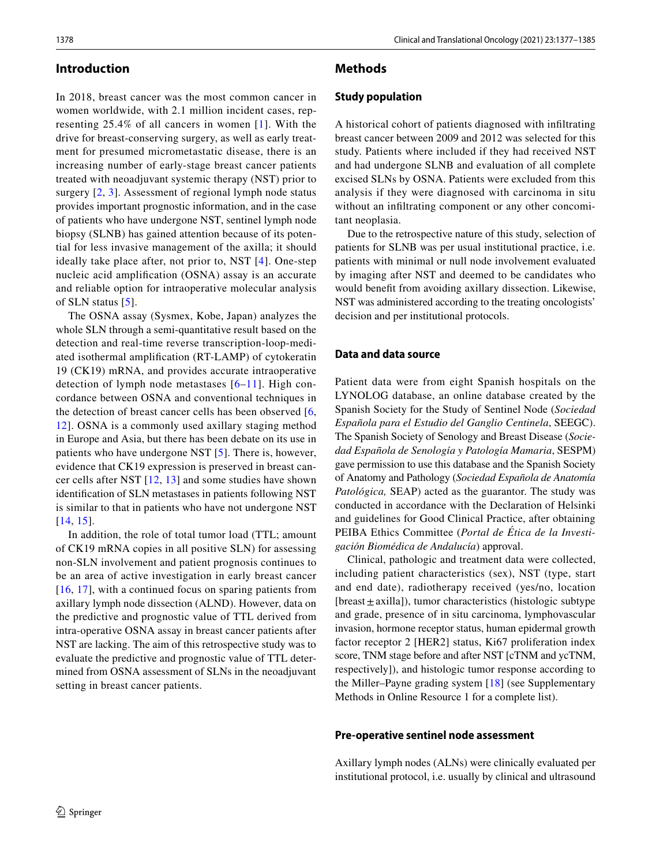## **Introduction**

In 2018, breast cancer was the most common cancer in women worldwide, with 2.1 million incident cases, representing 25.4% of all cancers in women [[1\]](#page-8-0). With the drive for breast-conserving surgery, as well as early treatment for presumed micrometastatic disease, there is an increasing number of early-stage breast cancer patients treated with neoadjuvant systemic therapy (NST) prior to surgery  $[2, 3]$  $[2, 3]$  $[2, 3]$  $[2, 3]$ . Assessment of regional lymph node status provides important prognostic information, and in the case of patients who have undergone NST, sentinel lymph node biopsy (SLNB) has gained attention because of its potential for less invasive management of the axilla; it should ideally take place after, not prior to, NST [\[4\]](#page-8-3). One-step nucleic acid amplifcation (OSNA) assay is an accurate and reliable option for intraoperative molecular analysis of SLN status [\[5\]](#page-8-4).

The OSNA assay (Sysmex, Kobe, Japan) analyzes the whole SLN through a semi-quantitative result based on the detection and real-time reverse transcription-loop-mediated isothermal amplifcation (RT-LAMP) of cytokeratin 19 (CK19) mRNA, and provides accurate intraoperative detection of lymph node metastases  $[6-11]$  $[6-11]$ . High concordance between OSNA and conventional techniques in the detection of breast cancer cells has been observed [\[6,](#page-8-5) [12](#page-8-7)]. OSNA is a commonly used axillary staging method in Europe and Asia, but there has been debate on its use in patients who have undergone NST [\[5](#page-8-4)]. There is, however, evidence that CK19 expression is preserved in breast cancer cells after NST [\[12,](#page-8-7) [13](#page-8-8)] and some studies have shown identifcation of SLN metastases in patients following NST is similar to that in patients who have not undergone NST [[14,](#page-8-9) [15\]](#page-8-10).

In addition, the role of total tumor load (TTL; amount of CK19 mRNA copies in all positive SLN) for assessing non-SLN involvement and patient prognosis continues to be an area of active investigation in early breast cancer [[16,](#page-8-11) [17\]](#page-8-12), with a continued focus on sparing patients from axillary lymph node dissection (ALND). However, data on the predictive and prognostic value of TTL derived from intra-operative OSNA assay in breast cancer patients after NST are lacking. The aim of this retrospective study was to evaluate the predictive and prognostic value of TTL determined from OSNA assessment of SLNs in the neoadjuvant setting in breast cancer patients.

## **Methods**

#### **Study population**

A historical cohort of patients diagnosed with infltrating breast cancer between 2009 and 2012 was selected for this study. Patients where included if they had received NST and had undergone SLNB and evaluation of all complete excised SLNs by OSNA. Patients were excluded from this analysis if they were diagnosed with carcinoma in situ without an infltrating component or any other concomitant neoplasia.

Due to the retrospective nature of this study, selection of patients for SLNB was per usual institutional practice, i.e. patients with minimal or null node involvement evaluated by imaging after NST and deemed to be candidates who would beneft from avoiding axillary dissection. Likewise, NST was administered according to the treating oncologists' decision and per institutional protocols.

# **Data and data source**

Patient data were from eight Spanish hospitals on the LYNOLOG database, an online database created by the Spanish Society for the Study of Sentinel Node (*Sociedad Española para el Estudio del Ganglio Centinela*, SEEGC). The Spanish Society of Senology and Breast Disease (*Sociedad Española de Senología y Patología Mamaria*, SESPM) gave permission to use this database and the Spanish Society of Anatomy and Pathology (*Sociedad Española de Anatomía Patológica,* SEAP) acted as the guarantor. The study was conducted in accordance with the Declaration of Helsinki and guidelines for Good Clinical Practice, after obtaining PEIBA Ethics Committee (*Portal de Ética de la Investigación Biomédica de Andalucía*) approval.

Clinical, pathologic and treatment data were collected, including patient characteristics (sex), NST (type, start and end date), radiotherapy received (yes/no, location  $[break \pm axilla]$ ), tumor characteristics (histologic subtype and grade, presence of in situ carcinoma, lymphovascular invasion, hormone receptor status, human epidermal growth factor receptor 2 [HER2] status, Ki67 proliferation index score, TNM stage before and after NST [cTNM and ycTNM, respectively]), and histologic tumor response according to the Miller–Payne grading system [[18](#page-8-13)] (see Supplementary Methods in Online Resource 1 for a complete list).

#### **Pre‑operative sentinel node assessment**

Axillary lymph nodes (ALNs) were clinically evaluated per institutional protocol, i.e. usually by clinical and ultrasound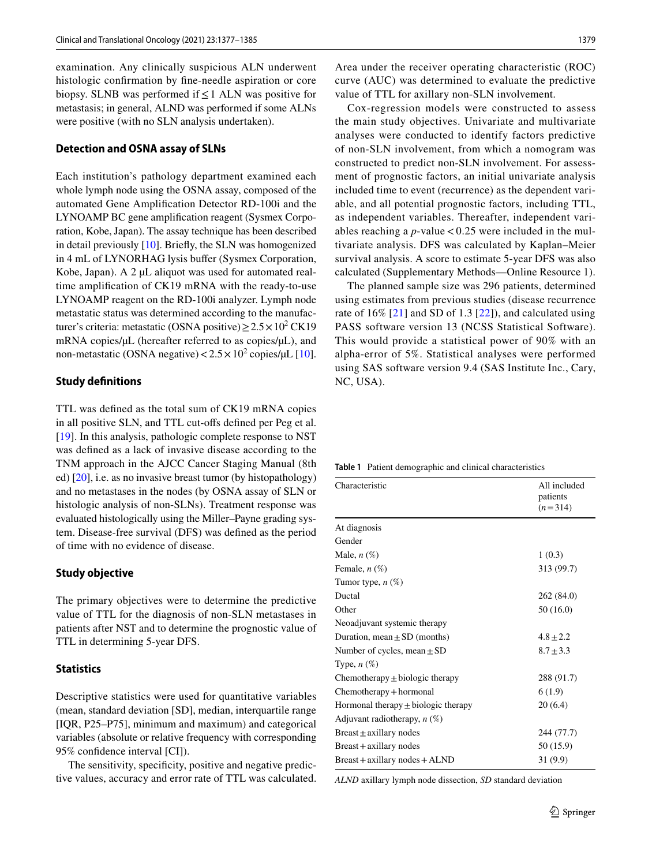examination. Any clinically suspicious ALN underwent histologic confrmation by fne-needle aspiration or core biopsy. SLNB was performed if  $\leq 1$  ALN was positive for metastasis; in general, ALND was performed if some ALNs were positive (with no SLN analysis undertaken).

#### **Detection and OSNA assay of SLNs**

Each institution's pathology department examined each whole lymph node using the OSNA assay, composed of the automated Gene Amplifcation Detector RD-100i and the LYNOAMP BC gene amplifcation reagent (Sysmex Corporation, Kobe, Japan). The assay technique has been described in detail previously [[10](#page-8-14)]. Briefy, the SLN was homogenized in 4 mL of LYNORHAG lysis bufer (Sysmex Corporation, Kobe, Japan). A 2 µL aliquot was used for automated realtime amplifcation of CK19 mRNA with the ready-to-use LYNOAMP reagent on the RD-100i analyzer. Lymph node metastatic status was determined according to the manufacturer's criteria: metastatic (OSNA positive) $\geq 2.5 \times 10^2$  CK19 mRNA copies/µL (hereafter referred to as copies/µL), and non-metastatic (OSNA negative) $< 2.5 \times 10^2$  copies/ $\mu$ L [\[10](#page-8-14)].

## **Study defnitions**

TTL was defned as the total sum of CK19 mRNA copies in all positive SLN, and TTL cut-ofs defned per Peg et al. [\[19\]](#page-8-15). In this analysis, pathologic complete response to NST was defned as a lack of invasive disease according to the TNM approach in the AJCC Cancer Staging Manual (8th ed) [\[20](#page-8-16)], i.e. as no invasive breast tumor (by histopathology) and no metastases in the nodes (by OSNA assay of SLN or histologic analysis of non-SLNs). Treatment response was evaluated histologically using the Miller–Payne grading system. Disease-free survival (DFS) was defned as the period of time with no evidence of disease.

#### **Study objective**

The primary objectives were to determine the predictive value of TTL for the diagnosis of non-SLN metastases in patients after NST and to determine the prognostic value of TTL in determining 5-year DFS.

#### **Statistics**

Descriptive statistics were used for quantitative variables (mean, standard deviation [SD], median, interquartile range [IQR, P25–P75], minimum and maximum) and categorical variables (absolute or relative frequency with corresponding 95% confdence interval [CI]).

The sensitivity, specificity, positive and negative predictive values, accuracy and error rate of TTL was calculated. Area under the receiver operating characteristic (ROC) curve (AUC) was determined to evaluate the predictive value of TTL for axillary non-SLN involvement.

Cox-regression models were constructed to assess the main study objectives. Univariate and multivariate analyses were conducted to identify factors predictive of non-SLN involvement, from which a nomogram was constructed to predict non-SLN involvement. For assessment of prognostic factors, an initial univariate analysis included time to event (recurrence) as the dependent variable, and all potential prognostic factors, including TTL, as independent variables. Thereafter, independent variables reaching a  $p$ -value < 0.25 were included in the multivariate analysis. DFS was calculated by Kaplan–Meier survival analysis. A score to estimate 5-year DFS was also calculated (Supplementary Methods—Online Resource 1).

The planned sample size was 296 patients, determined using estimates from previous studies (disease recurrence rate of  $16\%$  [[21](#page-8-17)] and SD of 1.3 [[22](#page-8-18)]), and calculated using PASS software version 13 (NCSS Statistical Software). This would provide a statistical power of 90% with an alpha-error of 5%. Statistical analyses were performed using SAS software version 9.4 (SAS Institute Inc., Cary, NC, USA).

<span id="page-2-0"></span>**Table 1** Patient demographic and clinical characteristics

| Characteristic                          | All included<br>patients<br>$(n=314)$ |
|-----------------------------------------|---------------------------------------|
| At diagnosis                            |                                       |
| Gender                                  |                                       |
| Male, $n(\%)$                           | 1(0.3)                                |
| Female, n (%)                           | 313 (99.7)                            |
| Tumor type, $n(\%)$                     |                                       |
| Ductal                                  | 262 (84.0)                            |
| Other                                   | 50(16.0)                              |
| Neoadjuvant systemic therapy            |                                       |
| Duration, mean $\pm$ SD (months)        | $4.8 + 2.2$                           |
| Number of cycles, mean $\pm$ SD         | $8.7 \pm 3.3$                         |
| Type, $n(\%)$                           |                                       |
| Chemotherapy $\pm$ biologic therapy     | 288 (91.7)                            |
| Chemotherapy + hormonal                 | 6(1.9)                                |
| Hormonal therapy $\pm$ biologic therapy | 20(6.4)                               |
| Adjuvant radiotherapy, $n$ (%)          |                                       |
| Breast $\pm$ axillary nodes             | 244 (77.7)                            |
| Breast + axillary nodes                 | 50 (15.9)                             |
| $Breat + axillary nodes + ALND$         | 31(9.9)                               |

*ALND* axillary lymph node dissection, *SD* standard deviation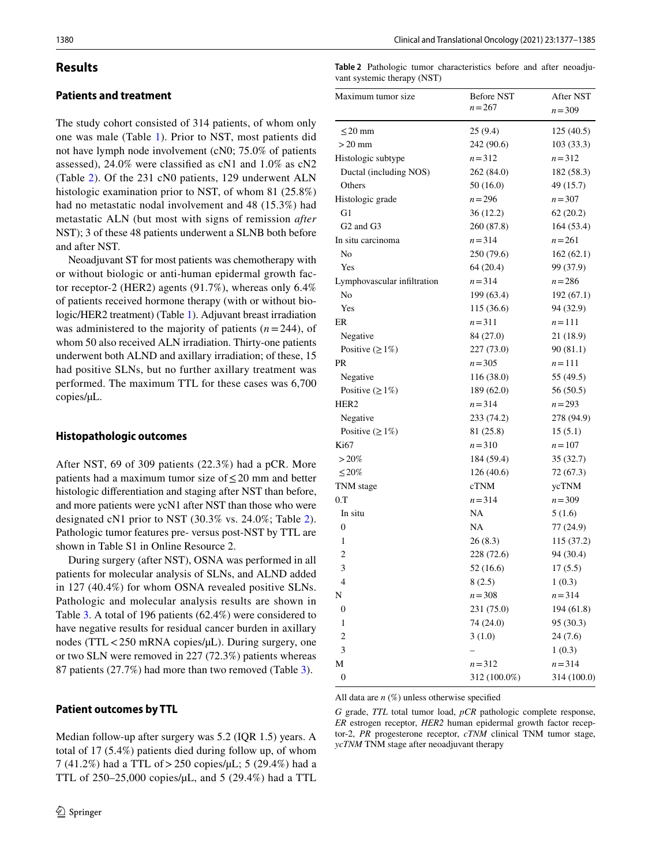## **Results**

## **Patients and treatment**

The study cohort consisted of 314 patients, of whom only one was male (Table [1\)](#page-2-0). Prior to NST, most patients did not have lymph node involvement (cN0; 75.0% of patients assessed), 24.0% were classifed as cN1 and 1.0% as cN2 (Table [2](#page-3-0)). Of the 231 cN0 patients, 129 underwent ALN histologic examination prior to NST, of whom 81 (25.8%) had no metastatic nodal involvement and 48 (15.3%) had metastatic ALN (but most with signs of remission *after* NST); 3 of these 48 patients underwent a SLNB both before and after NST.

Neoadjuvant ST for most patients was chemotherapy with or without biologic or anti-human epidermal growth factor receptor-2 (HER2) agents (91.7%), whereas only 6.4% of patients received hormone therapy (with or without biologic/HER2 treatment) (Table [1\)](#page-2-0). Adjuvant breast irradiation was administered to the majority of patients  $(n=244)$ , of whom 50 also received ALN irradiation. Thirty-one patients underwent both ALND and axillary irradiation; of these, 15 had positive SLNs, but no further axillary treatment was performed. The maximum TTL for these cases was 6,700 copies/µL.

#### **Histopathologic outcomes**

After NST, 69 of 309 patients (22.3%) had a pCR. More patients had a maximum tumor size of  $\leq$  20 mm and better histologic diferentiation and staging after NST than before, and more patients were ycN1 after NST than those who were designated cN1 prior to NST (30.3% vs. 24.0%; Table [2](#page-3-0)). Pathologic tumor features pre- versus post-NST by TTL are shown in Table S1 in Online Resource 2.

During surgery (after NST), OSNA was performed in all patients for molecular analysis of SLNs, and ALND added in 127 (40.4%) for whom OSNA revealed positive SLNs. Pathologic and molecular analysis results are shown in Table [3](#page-4-0). A total of 196 patients (62.4%) were considered to have negative results for residual cancer burden in axillary nodes (TTL < 250 mRNA copies/µL). During surgery, one or two SLN were removed in 227 (72.3%) patients whereas 87 patients (27.7%) had more than two removed (Table [3](#page-4-0)).

#### **Patient outcomes by TTL**

Median follow-up after surgery was 5.2 (IQR 1.5) years. A total of 17 (5.4%) patients died during follow up, of whom 7 (41.2%) had a TTL of>250 copies/µL; 5 (29.4%) had a TTL of 250–25,000 copies/µL, and 5 (29.4%) had a TTL

<span id="page-3-0"></span>

|                             | Table 2 Pathologic tumor characteristics before and after neoadju- |  |  |
|-----------------------------|--------------------------------------------------------------------|--|--|
| vant systemic therapy (NST) |                                                                    |  |  |

| Maximum tumor size                | <b>Before NST</b> | After NST   |  |
|-----------------------------------|-------------------|-------------|--|
|                                   | $n = 267$         | $n = 309$   |  |
| $\leq$ 20 mm                      | 25 (9.4)          | 125 (40.5)  |  |
| $>20$ mm                          | 242 (90.6)        | 103(33.3)   |  |
| Histologic subtype                | $n = 312$         | $n = 312$   |  |
| Ductal (including NOS)            | 262 (84.0)        | 182 (58.3)  |  |
| Others                            | 50(16.0)          | 49 (15.7)   |  |
| Histologic grade                  | $n = 296$         | $n = 307$   |  |
| G1                                | 36(12.2)          | 62(20.2)    |  |
| G <sub>2</sub> and G <sub>3</sub> | 260 (87.8)        | 164(53.4)   |  |
| In situ carcinoma                 | $n = 314$         | $n = 261$   |  |
| No                                | 250 (79.6)        | 162(62.1)   |  |
| Yes                               | 64 (20.4)         | 99 (37.9)   |  |
| Lymphovascular infiltration       | $n = 314$         | $n = 286$   |  |
| No                                | 199 (63.4)        | 192 (67.1)  |  |
| Yes                               | 115 (36.6)        | 94 (32.9)   |  |
| ER                                | $n = 311$         | $n = 111$   |  |
| Negative                          | 84 (27.0)         | 21 (18.9)   |  |
| Positive $(\geq 1\%)$             | 227 (73.0)        | 90(81.1)    |  |
| PR                                | $n = 305$         | $n = 111$   |  |
| Negative                          | 116(38.0)         | 55 (49.5)   |  |
| Positive $(\geq 1\%)$             | 189 (62.0)        | 56(50.5)    |  |
| HER <sub>2</sub>                  | $n = 314$         | $n = 293$   |  |
| Negative                          | 233 (74.2)        | 278 (94.9)  |  |
| Positive $(\geq 1\%)$             | 81 (25.8)         | 15(5.1)     |  |
| Ki67                              | $n = 310$         | $n = 107$   |  |
| $>20\%$                           | 184 (59.4)        | 35 (32.7)   |  |
| $\leq$ 20%                        | 126(40.6)         | 72 (67.3)   |  |
| TNM stage                         | cTNM              | ycTNM       |  |
| 0. T                              | $n = 314$         | $n = 309$   |  |
| In situ                           | NA                | 5(1.6)      |  |
| 0                                 | NA                | 77 (24.9)   |  |
| 1                                 | 26(8.3)           | 115 (37.2)  |  |
| $\overline{c}$                    | 228 (72.6)        | 94 (30.4)   |  |
| 3                                 | 52 (16.6)         | 17(5.5)     |  |
| $\overline{4}$                    | 8(2.5)            | 1(0.3)      |  |
| N                                 | $n = 308$         | $n = 314$   |  |
| $\boldsymbol{0}$                  | 231 (75.0)        | 194 (61.8)  |  |
| 1                                 | 74 (24.0)         | 95 (30.3)   |  |
| $\overline{c}$                    | 3(1.0)            | 24(7.6)     |  |
| 3                                 |                   | 1(0.3)      |  |
| M                                 | $n = 312$         | $n = 314$   |  |
| 0                                 | 312 (100.0%)      | 314 (100.0) |  |

All data are *n* (%) unless otherwise specifed

*G* grade, *TTL* total tumor load, *pCR* pathologic complete response, *ER* estrogen receptor, *HER2* human epidermal growth factor receptor-2, *PR* progesterone receptor, *cTNM* clinical TNM tumor stage, *ycTNM* TNM stage after neoadjuvant therapy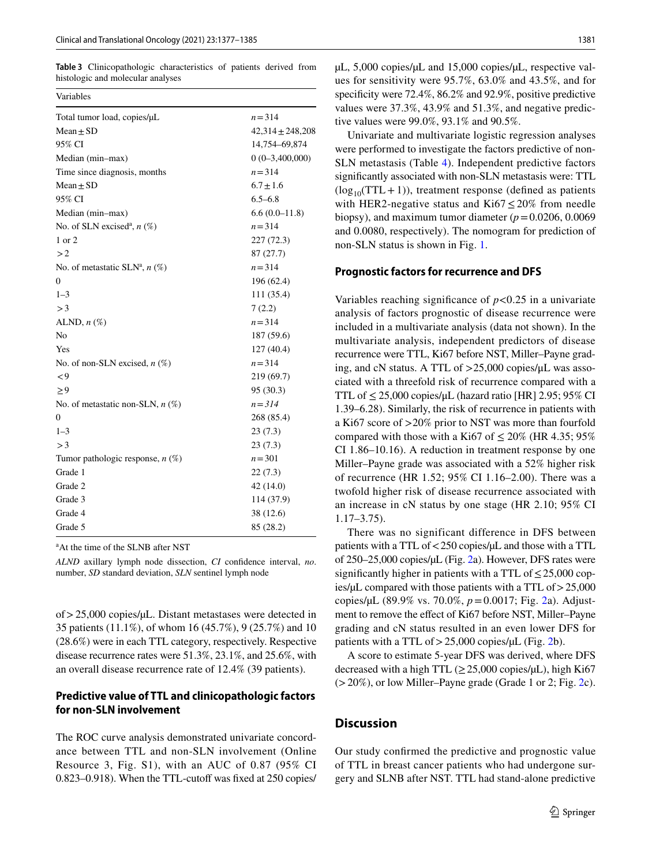<span id="page-4-0"></span>**Table 3** Clinicopathologic characteristics of patients derived from histologic and molecular analyses

| Variables                                    |                      |
|----------------------------------------------|----------------------|
| Total tumor load, copies/µL                  | $n = 314$            |
| $Mean \pm SD$                                | $42,314 \pm 248,208$ |
| 95% CI                                       | 14,754-69,874        |
| Median (min-max)                             | $0(0-3,400,000)$     |
| Time since diagnosis, months                 | $n = 314$            |
| $Mean \pm SD$                                | $6.7 \pm 1.6$        |
| 95% CI                                       | $6.5 - 6.8$          |
| Median (min-max)                             | $6.6(0.0-11.8)$      |
| No. of SLN excised <sup>a</sup> , $n$ (%)    | $n = 314$            |
| 1 or 2                                       | 227 (72.3)           |
| >2                                           | 87(27.7)             |
| No. of metastatic SLN <sup>a</sup> , $n$ (%) | $n = 314$            |
| 0                                            | 196 (62.4)           |
| $1 - 3$                                      | 111 (35.4)           |
| >3                                           | 7(2.2)               |
| ALND, $n$ $(\%)$                             | $n = 314$            |
| No                                           | 187 (59.6)           |
| Yes                                          | 127(40.4)            |
| No. of non-SLN excised, $n$ (%)              | $n = 314$            |
| $\mathbf{<}9$                                | 219 (69.7)           |
| $\geq 9$                                     | 95 (30.3)            |
| No. of metastatic non-SLN, $n$ (%)           | $n = 314$            |
| 0                                            | 268 (85.4)           |
| $1 - 3$                                      | 23(7.3)              |
| >3                                           | 23(7.3)              |
| Tumor pathologic response, $n$ (%)           | $n = 301$            |
| Grade 1                                      | 22(7.3)              |
| Grade 2                                      | 42 (14.0)            |
| Grade 3                                      | 114 (37.9)           |
| Grade 4                                      | 38 (12.6)            |
| Grade 5                                      | 85 (28.2)            |

<sup>a</sup>At the time of the SLNB after NST

*ALND* axillary lymph node dissection, *CI* confdence interval, *no*. number, *SD* standard deviation, *SLN* sentinel lymph node

of>25,000 copies/µL. Distant metastases were detected in 35 patients (11.1%), of whom 16 (45.7%), 9 (25.7%) and 10 (28.6%) were in each TTL category, respectively. Respective disease recurrence rates were 51.3%, 23.1%, and 25.6%, with an overall disease recurrence rate of 12.4% (39 patients).

## **Predictive value of TTL and clinicopathologic factors for non‑SLN involvement**

The ROC curve analysis demonstrated univariate concordance between TTL and non-SLN involvement (Online Resource 3, Fig. S1), with an AUC of 0.87 (95% CI  $0.823-0.918$ . When the TTL-cutoff was fixed at 250 copies/ µL, 5,000 copies/µL and 15,000 copies/µL, respective values for sensitivity were 95.7%, 63.0% and 43.5%, and for specificity were 72.4%, 86.2% and 92.9%, positive predictive values were 37.3%, 43.9% and 51.3%, and negative predictive values were 99.0%, 93.1% and 90.5%.

Univariate and multivariate logistic regression analyses were performed to investigate the factors predictive of non-SLN metastasis (Table [4\)](#page-5-0). Independent predictive factors signifcantly associated with non-SLN metastasis were: TTL  $(log_{10}(TTL+1))$ , treatment response (defined as patients with HER2-negative status and Ki67≤20% from needle biopsy), and maximum tumor diameter  $(p=0.0206, 0.0069)$ and 0.0080, respectively). The nomogram for prediction of non-SLN status is shown in Fig. [1](#page-5-1).

#### **Prognostic factors for recurrence and DFS**

Variables reaching significance of  $p < 0.25$  in a univariate analysis of factors prognostic of disease recurrence were included in a multivariate analysis (data not shown). In the multivariate analysis, independent predictors of disease recurrence were TTL, Ki67 before NST, Miller–Payne grading, and cN status. A TTL of >25,000 copies/μL was associated with a threefold risk of recurrence compared with a TTL of  $\leq$  25,000 copies/ $\mu$ L (hazard ratio [HR] 2.95; 95% CI 1.39–6.28). Similarly, the risk of recurrence in patients with a Ki67 score of >20% prior to NST was more than fourfold compared with those with a Ki67 of  $\leq 20\%$  (HR 4.35; 95%) CI 1.86–10.16). A reduction in treatment response by one Miller–Payne grade was associated with a 52% higher risk of recurrence (HR 1.52; 95% CI 1.16–2.00). There was a twofold higher risk of disease recurrence associated with an increase in cN status by one stage (HR 2.10; 95% CI 1.17–3.75).

There was no significant difference in DFS between patients with a TTL of <250 copies/ $\mu$ L and those with a TTL of 250–25,000 copies/µL (Fig. [2](#page-6-0)a). However, DFS rates were significantly higher in patients with a TTL of  $\leq$  25,000 copies/µL compared with those patients with a TTL of>25,000 copies/µL (89.9% vs. 70.0%, *p*=0.0017; Fig. [2](#page-6-0)a). Adjustment to remove the efect of Ki67 before NST, Miller–Payne grading and cN status resulted in an even lower DFS for patients with a TTL of  $>$  25,000 copies/ $\mu$ L (Fig. [2b](#page-6-0)).

A score to estimate 5-year DFS was derived, where DFS decreased with a high TTL  $(\geq 25,000 \text{ copies/µL})$ , high Ki67  $(>20\%)$ , or low Miller–Payne grade (Grade 1 or 2; Fig. [2c](#page-6-0)).

# **Discussion**

Our study confrmed the predictive and prognostic value of TTL in breast cancer patients who had undergone surgery and SLNB after NST. TTL had stand-alone predictive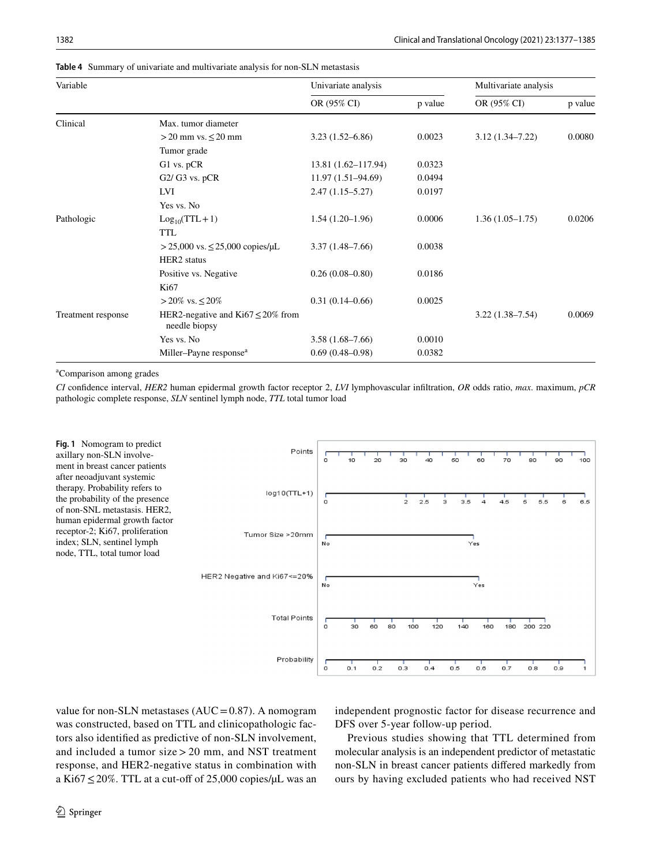| Variable           |                                                         | Univariate analysis |         | Multivariate analysis |         |
|--------------------|---------------------------------------------------------|---------------------|---------|-----------------------|---------|
|                    |                                                         | OR (95% CI)         | p value | OR (95% CI)           | p value |
| Clinical           | Max. tumor diameter                                     |                     |         |                       |         |
|                    | $>$ 20 mm vs. $\leq$ 20 mm                              | $3.23(1.52 - 6.86)$ | 0.0023  | $3.12(1.34 - 7.22)$   | 0.0080  |
|                    | Tumor grade                                             |                     |         |                       |         |
|                    | G1 vs. pCR                                              | 13.81 (1.62-117.94) | 0.0323  |                       |         |
|                    | $G2/G3$ vs. $pCR$                                       | 11.97 (1.51-94.69)  | 0.0494  |                       |         |
|                    | LVI                                                     | $2.47(1.15 - 5.27)$ | 0.0197  |                       |         |
|                    | Yes vs. No                                              |                     |         |                       |         |
| Pathologic         | $Log_{10}(TTL+1)$                                       | $1.54(1.20-1.96)$   | 0.0006  | $1.36(1.05-1.75)$     | 0.0206  |
|                    | <b>TTL</b>                                              |                     |         |                       |         |
|                    | $> 25,000$ vs. $\leq 25,000$ copies/µL                  | $3.37(1.48 - 7.66)$ | 0.0038  |                       |         |
|                    | HER <sub>2</sub> status                                 |                     |         |                       |         |
|                    | Positive vs. Negative                                   | $0.26(0.08 - 0.80)$ | 0.0186  |                       |         |
|                    | Ki67                                                    |                     |         |                       |         |
|                    | > 20% vs. ≤ 20%                                         | $0.31(0.14 - 0.66)$ | 0.0025  |                       |         |
| Treatment response | HER2-negative and Ki67 $\leq$ 20% from<br>needle biopsy |                     |         | $3.22(1.38 - 7.54)$   | 0.0069  |
|                    | Yes vs. No                                              | $3.58(1.68 - 7.66)$ | 0.0010  |                       |         |
|                    | Miller-Payne response <sup>a</sup>                      | $0.69(0.48 - 0.98)$ | 0.0382  |                       |         |

<span id="page-5-0"></span>**Table 4** Summary of univariate and multivariate analysis for non-SLN metastasis

a Comparison among grades

*CI* confdence interval, *HER2* human epidermal growth factor receptor 2, *LVI* lymphovascular infltration, *OR* odds ratio, *max*. maximum, *pCR* pathologic complete response, *SLN* sentinel lymph node, *TTL* total tumor load

<span id="page-5-1"></span>

value for non-SLN metastases ( $AUC = 0.87$ ). A nomogram was constructed, based on TTL and clinicopathologic factors also identifed as predictive of non-SLN involvement, and included a tumor size > 20 mm, and NST treatment response, and HER2-negative status in combination with a Ki67  $\leq$  20%. TTL at a cut-off of 25,000 copies/ $\mu$ L was an independent prognostic factor for disease recurrence and DFS over 5-year follow-up period.

Previous studies showing that TTL determined from molecular analysis is an independent predictor of metastatic non-SLN in breast cancer patients difered markedly from ours by having excluded patients who had received NST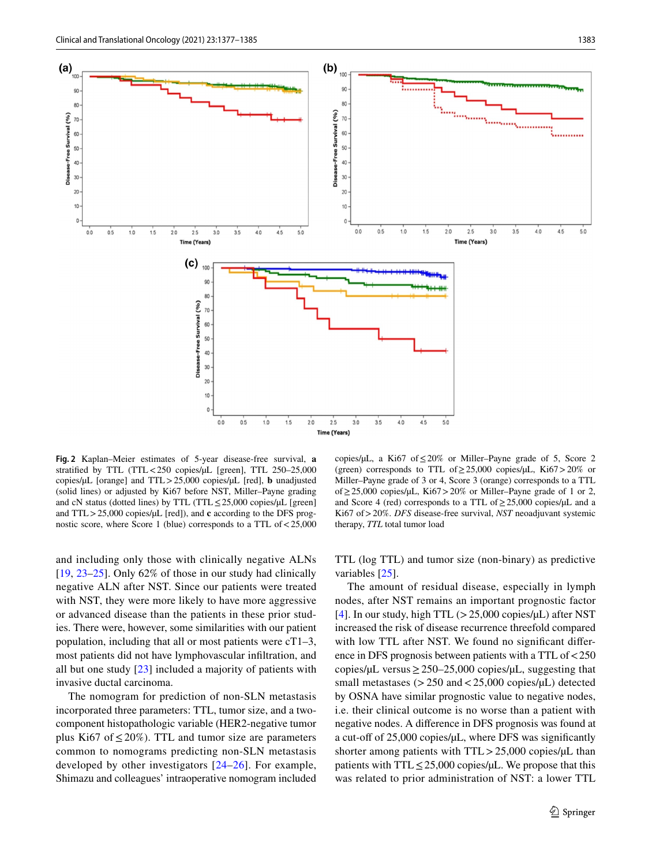

<span id="page-6-0"></span>**Fig. 2** Kaplan–Meier estimates of 5-year disease-free survival, **a** stratified by TTL (TTL<250 copies/µL [green], TTL 250-25,000 copies/µL [orange] and TTL>25,000 copies/µL [red], **b** unadjusted (solid lines) or adjusted by Ki67 before NST, Miller–Payne grading and cN status (dotted lines) by TTL (TTL≤25,000 copies/µL [green] and TTL > 25,000 copies/ $\mu$ L [red]), and **c** according to the DFS prognostic score, where Score 1 (blue) corresponds to a TTL of<25,000

and including only those with clinically negative ALNs [\[19,](#page-8-15) [23–](#page-8-19)[25](#page-8-20)]. Only 62% of those in our study had clinically negative ALN after NST. Since our patients were treated with NST, they were more likely to have more aggressive or advanced disease than the patients in these prior studies. There were, however, some similarities with our patient population, including that all or most patients were cT1–3, most patients did not have lymphovascular infltration, and all but one study [[23\]](#page-8-19) included a majority of patients with invasive ductal carcinoma.

The nomogram for prediction of non-SLN metastasis incorporated three parameters: TTL, tumor size, and a twocomponent histopathologic variable (HER2-negative tumor plus Ki67 of  $\leq$  20%). TTL and tumor size are parameters common to nomograms predicting non-SLN metastasis developed by other investigators [[24–](#page-8-21)[26](#page-8-22)]. For example, Shimazu and colleagues' intraoperative nomogram included

copies/µL, a Ki67 of  $\leq$  20% or Miller–Payne grade of 5, Score 2 (green) corresponds to TTL of  $\geq$  25,000 copies/ $\mu$ L, Ki67 > 20% or Miller–Payne grade of 3 or 4, Score 3 (orange) corresponds to a TTL of≥25,000 copies/µL, Ki67>20% or Miller–Payne grade of 1 or 2, and Score 4 (red) corresponds to a TTL of  $\geq$  25,000 copies/ $\mu$ L and a Ki67 of>20%. *DFS* disease-free survival, *NST* neoadjuvant systemic therapy, *TTL* total tumor load

TTL (log TTL) and tumor size (non-binary) as predictive variables [\[25\]](#page-8-20).

The amount of residual disease, especially in lymph nodes, after NST remains an important prognostic factor [[4\]](#page-8-3). In our study, high TTL  $(>25,000 \text{ copies/µL})$  after NST increased the risk of disease recurrence threefold compared with low TTL after NST. We found no signifcant diference in DFS prognosis between patients with a TTL of<250 copies/ $\mu$ L versus  $\geq$  250–25,000 copies/ $\mu$ L, suggesting that small metastases ( $>$  250 and  $<$  25,000 copies/ $\mu$ L) detected by OSNA have similar prognostic value to negative nodes, i.e. their clinical outcome is no worse than a patient with negative nodes. A diference in DFS prognosis was found at a cut-off of  $25,000$  copies/ $\mu$ L, where DFS was significantly shorter among patients with  $TTL > 25,000$  copies/ $\mu$ L than patients with TTL $\leq$ 25,000 copies/µL. We propose that this was related to prior administration of NST: a lower TTL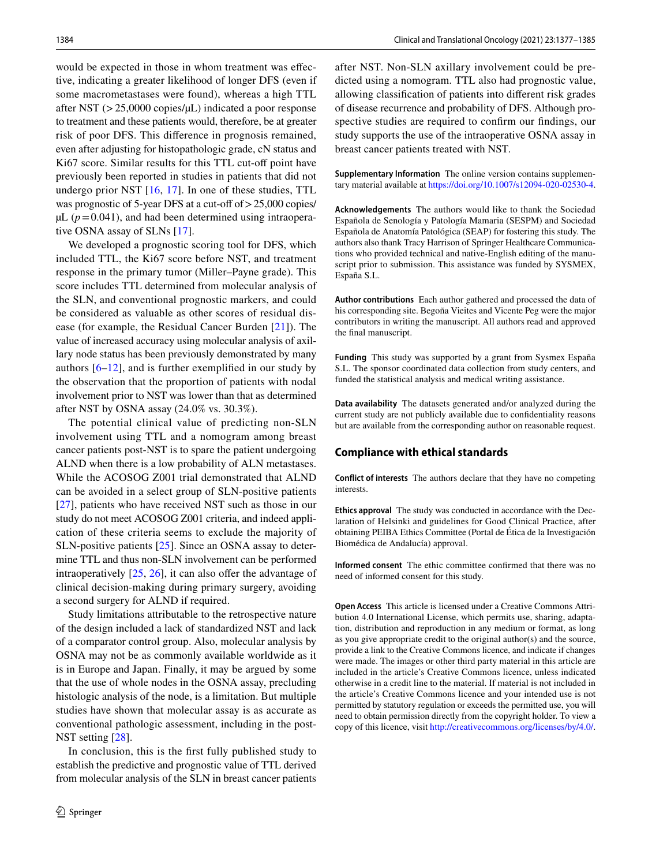would be expected in those in whom treatment was efective, indicating a greater likelihood of longer DFS (even if some macrometastases were found), whereas a high TTL after NST  $(>25,0000 \text{ copies/}\mu L)$  indicated a poor response to treatment and these patients would, therefore, be at greater risk of poor DFS. This diference in prognosis remained, even after adjusting for histopathologic grade, cN status and Ki67 score. Similar results for this TTL cut-off point have previously been reported in studies in patients that did not undergo prior NST  $[16, 17]$  $[16, 17]$  $[16, 17]$  $[16, 17]$ . In one of these studies, TTL was prognostic of 5-year DFS at a cut-off of  $> 25,000$  copies/  $\mu L$  ( $p = 0.041$ ), and had been determined using intraoperative OSNA assay of SLNs [[17\]](#page-8-12).

We developed a prognostic scoring tool for DFS, which included TTL, the Ki67 score before NST, and treatment response in the primary tumor (Miller–Payne grade). This score includes TTL determined from molecular analysis of the SLN, and conventional prognostic markers, and could be considered as valuable as other scores of residual disease (for example, the Residual Cancer Burden [[21](#page-8-17)]). The value of increased accuracy using molecular analysis of axillary node status has been previously demonstrated by many authors [[6–](#page-8-5)[12](#page-8-7)], and is further exemplifed in our study by the observation that the proportion of patients with nodal involvement prior to NST was lower than that as determined after NST by OSNA assay (24.0% vs. 30.3%).

The potential clinical value of predicting non-SLN involvement using TTL and a nomogram among breast cancer patients post-NST is to spare the patient undergoing ALND when there is a low probability of ALN metastases. While the ACOSOG Z001 trial demonstrated that ALND can be avoided in a select group of SLN-positive patients [\[27\]](#page-8-23), patients who have received NST such as those in our study do not meet ACOSOG Z001 criteria, and indeed application of these criteria seems to exclude the majority of SLN-positive patients [\[25\]](#page-8-20). Since an OSNA assay to determine TTL and thus non-SLN involvement can be performed intraoperatively  $[25, 26]$  $[25, 26]$  $[25, 26]$  $[25, 26]$ , it can also offer the advantage of clinical decision-making during primary surgery, avoiding a second surgery for ALND if required.

Study limitations attributable to the retrospective nature of the design included a lack of standardized NST and lack of a comparator control group. Also, molecular analysis by OSNA may not be as commonly available worldwide as it is in Europe and Japan. Finally, it may be argued by some that the use of whole nodes in the OSNA assay, precluding histologic analysis of the node, is a limitation. But multiple studies have shown that molecular assay is as accurate as conventional pathologic assessment, including in the post-NST setting [\[28](#page-8-24)].

In conclusion, this is the frst fully published study to establish the predictive and prognostic value of TTL derived from molecular analysis of the SLN in breast cancer patients after NST. Non-SLN axillary involvement could be predicted using a nomogram. TTL also had prognostic value, allowing classifcation of patients into diferent risk grades of disease recurrence and probability of DFS. Although prospective studies are required to confrm our fndings, our study supports the use of the intraoperative OSNA assay in breast cancer patients treated with NST.

**Supplementary Information** The online version contains supplementary material available at<https://doi.org/10.1007/s12094-020-02530-4>.

**Acknowledgements** The authors would like to thank the Sociedad Española de Senología y Patología Mamaria (SESPM) and Sociedad Española de Anatomía Patológica (SEAP) for fostering this study. The authors also thank Tracy Harrison of Springer Healthcare Communications who provided technical and native-English editing of the manuscript prior to submission. This assistance was funded by SYSMEX, España S.L.

**Author contributions** Each author gathered and processed the data of his corresponding site. Begoña Vieites and Vicente Peg were the major contributors in writing the manuscript. All authors read and approved the fnal manuscript.

**Funding** This study was supported by a grant from Sysmex España S.L. The sponsor coordinated data collection from study centers, and funded the statistical analysis and medical writing assistance.

**Data availability** The datasets generated and/or analyzed during the current study are not publicly available due to confdentiality reasons but are available from the corresponding author on reasonable request.

#### **Compliance with ethical standards**

**Conflict of interests** The authors declare that they have no competing interests.

**Ethics approval** The study was conducted in accordance with the Declaration of Helsinki and guidelines for Good Clinical Practice, after obtaining PEIBA Ethics Committee (Portal de Ética de la Investigación Biomédica de Andalucía) approval.

**Informed consent** The ethic committee confrmed that there was no need of informed consent for this study.

**Open Access** This article is licensed under a Creative Commons Attribution 4.0 International License, which permits use, sharing, adaptation, distribution and reproduction in any medium or format, as long as you give appropriate credit to the original author(s) and the source, provide a link to the Creative Commons licence, and indicate if changes were made. The images or other third party material in this article are included in the article's Creative Commons licence, unless indicated otherwise in a credit line to the material. If material is not included in the article's Creative Commons licence and your intended use is not permitted by statutory regulation or exceeds the permitted use, you will need to obtain permission directly from the copyright holder. To view a copy of this licence, visit<http://creativecommons.org/licenses/by/4.0/>.